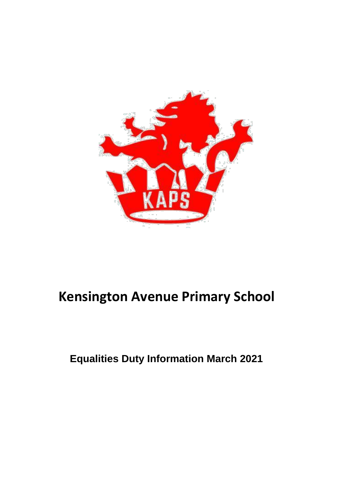

# **Kensington Avenue Primary School**

# **Equalities Duty Information March 2021**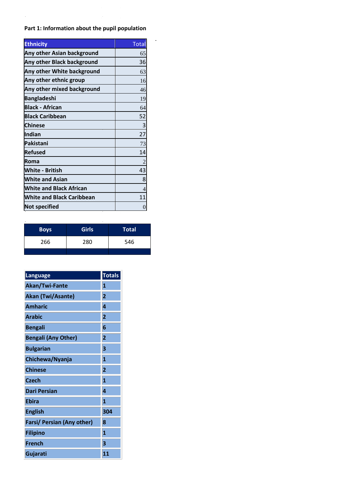# **Part 1: Information about the pupil population**

 $\sim$ 

 $\ddot{\phantom{a}}$ 

 $\hat{\mathcal{A}}$ 

| <b>Ethnicity</b>                  | <b>Total</b>     |
|-----------------------------------|------------------|
| <b>Any other Asian background</b> | 65               |
| Any other Black background        | 36               |
| Any other White background        | 63               |
| Any other ethnic group            | 16               |
| Any other mixed background        | 46               |
| <b>Bangladeshi</b>                | 19               |
| <b>Black - African</b>            | 64               |
| <b>Black Caribbean</b>            | 52               |
| <b>Chinese</b>                    | 3                |
| Indian                            | 27               |
| Pakistani                         | 73               |
| <b>Refused</b>                    | 14               |
| Roma                              | $\overline{c}$   |
| <b>White - British</b>            | 43               |
| <b>White and Asian</b>            | 8                |
| <b>White and Black African</b>    | $\overline{4}$   |
| <b>White and Black Caribbean</b>  | 11               |
| <b>Not specified</b>              | $\boldsymbol{0}$ |

| <b>Boys</b> | <b>Girls</b> | <b>Total</b> |
|-------------|--------------|--------------|
| 266         | 280          | 546          |
|             |              |              |

| Language                   | <b>Totals</b>  |
|----------------------------|----------------|
| Akan/Twi-Fante             | $\mathbf{1}$   |
| Akan (Twi/Asante)          | $\overline{2}$ |
| <b>Amharic</b>             | 4              |
| <b>Arabic</b>              | $\overline{2}$ |
| <b>Bengali</b>             | 6              |
| <b>Bengali (Any Other)</b> | $\overline{2}$ |
| <b>Bulgarian</b>           | 3              |
| Chichewa/Nyanja            | $\mathbf{1}$   |
| <b>Chinese</b>             | $\overline{2}$ |
| <b>Czech</b>               | $\mathbf{1}$   |
| <b>Dari Persian</b>        | 4              |
| <b>Ebira</b>               | $\mathbf{1}$   |
| <b>English</b>             | 304            |
| Farsi/ Persian (Any other) | 8              |
| <b>Filipino</b>            | $\mathbf{1}$   |
| <b>French</b>              | 3              |
| Gujarati                   | 11             |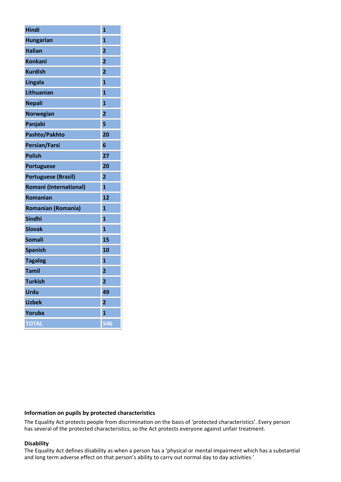| <b>Hindi</b>               | 1                       |
|----------------------------|-------------------------|
| <b>Hungarian</b>           | $\overline{\mathbf{1}}$ |
| <b>Italian</b>             | $\overline{\mathbf{c}}$ |
| <b>Konkani</b>             | $\overline{2}$          |
| <b>Kurdish</b>             | $\overline{2}$          |
| Lingala                    | $\overline{\mathbf{1}}$ |
| Lithuanian                 | $\mathbf{1}$            |
| <b>Nepali</b>              | $\mathbf{1}$            |
| <b>Norwegian</b>           | $\overline{2}$          |
| Panjabi                    | 5                       |
| Pashto/Pakhto              | 20                      |
| <b>Persian/Farsi</b>       | 6                       |
| <b>Polish</b>              | 27                      |
| <b>Portuguese</b>          | 20                      |
| <b>Portuguese (Brazil)</b> | $\overline{2}$          |
| Romani (International)     | $\overline{\mathbf{1}}$ |
| <b>Romanian</b>            | 12                      |
| <b>Romanian (Romania)</b>  | $\mathbf{1}$            |
| <b>Sindhi</b>              | $\overline{\mathbf{1}}$ |
| <b>Slovak</b>              | $\mathbf{1}$            |
| <b>Somali</b>              | 15                      |
| <b>Spanish</b>             | 10                      |
| <b>Tagalog</b>             | $\overline{\mathbf{1}}$ |
| <b>Tamil</b>               | $\overline{\mathbf{c}}$ |
| <b>Turkish</b>             | $\overline{\mathbf{2}}$ |
| <b>Urdu</b>                | 49                      |
| <b>Uzbek</b>               | $\overline{\mathbf{2}}$ |
| Yoruba                     | $\mathbf{1}$            |
| <b>TOTAL</b>               | 546                     |

#### **Information on pupils by protected characteristics**

The Equality Act protects people from discrimination on the basis of 'protected characteristics'. Every person has several of the protected characteristics, so the Act protects everyone against unfair treatment.

#### **Disability**

The Equality Act defines disability as when a person has a 'physical or mental impairment which has a substantial and long term adverse effect on that person's ability to carry out normal day to day activities.'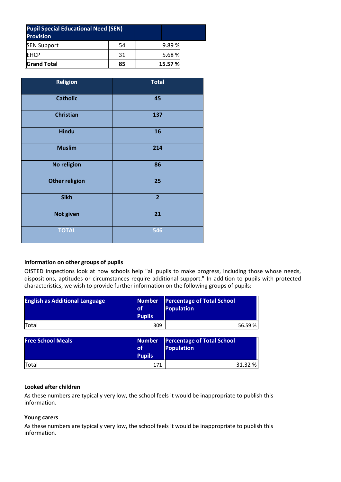| <b>Pupil Special Educational Need (SEN)</b><br><b>Provision</b> |    |         |
|-----------------------------------------------------------------|----|---------|
| <b>SEN Support</b>                                              | 54 | 9.89%   |
| EHCP                                                            | 31 | 5.68%   |
| <b>Grand Total</b>                                              | 85 | 15.57 % |

| <b>Religion</b>       | <b>Total</b>   |
|-----------------------|----------------|
| <b>Catholic</b>       | 45             |
| <b>Christian</b>      | 137            |
| <b>Hindu</b>          | 16             |
| <b>Muslim</b>         | 214            |
| No religion           | 86             |
| <b>Other religion</b> | 25             |
| <b>Sikh</b>           | $\overline{2}$ |
| <b>Not given</b>      | 21             |
| <b>TOTAL</b>          | 546            |

#### **Information on other groups of pupils**

OfSTED inspections look at how schools help "all pupils to make progress, including those whose needs, dispositions, aptitudes or circumstances require additional support." In addition to pupils with protected characteristics, we wish to provide further information on the following groups of pupils:

| <b>English as Additional Language</b> | <b>Number</b><br>lof<br><b>Pupils</b> | <b>Percentage of Total School</b><br><b>Population</b> |
|---------------------------------------|---------------------------------------|--------------------------------------------------------|
| Total                                 | 309                                   | 56.59%                                                 |
| <b>Free School Meals</b>              | <b>Number</b><br>lof<br><b>Pupils</b> | <b>Percentage of Total School</b><br><b>Population</b> |
| Total                                 | 171                                   | 31.32 %                                                |

#### **Looked after children**

As these numbers are typically very low, the school feels it would be inappropriate to publish this information.

# **Young carers**

As these numbers are typically very low, the school feels it would be inappropriate to publish this information.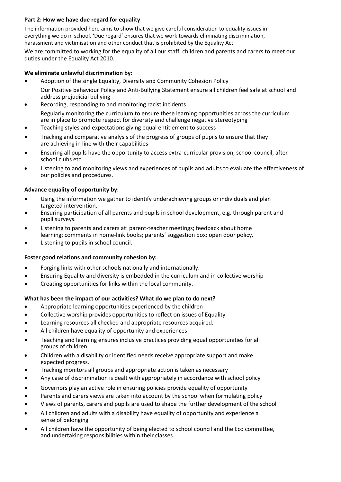# **Part 2: How we have due regard for equality**

The information provided here aims to show that we give careful consideration to equality issues in everything we do in school. 'Due regard' ensures that we work towards eliminating discrimination, harassment and victimisation and other conduct that is prohibited by the Equality Act.

We are committed to working for the equality of all our staff, children and parents and carers to meet our duties under the Equality Act 2010.

# **We eliminate unlawful discrimination by:**

- Adoption of the single Equality, Diversity and Community Cohesion Policy Our Positive behaviour Policy and Anti-Bullying Statement ensure all children feel safe at school and address prejudicial bullying
- Recording, responding to and monitoring racist incidents Regularly monitoring the curriculum to ensure these learning opportunities across the curriculum are in place to promote respect for diversity and challenge negative stereotyping
- Teaching styles and expectations giving equal entitlement to success
- Tracking and comparative analysis of the progress of groups of pupils to ensure that they are achieving in line with their capabilities
- Ensuring all pupils have the opportunity to access extra-curricular provision, school council, after school clubs etc.
- Listening to and monitoring views and experiences of pupils and adults to evaluate the effectiveness of our policies and procedures.

# **Advance equality of opportunity by:**

- Using the information we gather to identify underachieving groups or individuals and plan targeted intervention.
- Ensuring participation of all parents and pupils in school development, e.g. through parent and pupil surveys.
- Listening to parents and carers at: parent-teacher meetings; feedback about home learning; comments in home-link books; parents' suggestion box; open door policy.
- Listening to pupils in school council.

# **Foster good relations and community cohesion by:**

- Forging links with other schools nationally and internationally.
- Ensuring Equality and diversity is embedded in the curriculum and in collective worship
- Creating opportunities for links within the local community.

#### **What has been the impact of our activities? What do we plan to do next?**

- Appropriate learning opportunities experienced by the children
- Collective worship provides opportunities to reflect on issues of Equality
- Learning resources all checked and appropriate resources acquired.
- All children have equality of opportunity and experiences
- Teaching and learning ensures inclusive practices providing equal opportunities for all groups of children
- Children with a disability or identified needs receive appropriate support and make expected progress.
- Tracking monitors all groups and appropriate action is taken as necessary
- Any case of discrimination is dealt with appropriately in accordance with school policy
- Governors play an active role in ensuring policies provide equality of opportunity
- Parents and carers views are taken into account by the school when formulating policy
- Views of parents, carers and pupils are used to shape the further development of the school
- All children and adults with a disability have equality of opportunity and experience a sense of belonging
- All children have the opportunity of being elected to school council and the Eco committee, and undertaking responsibilities within their classes.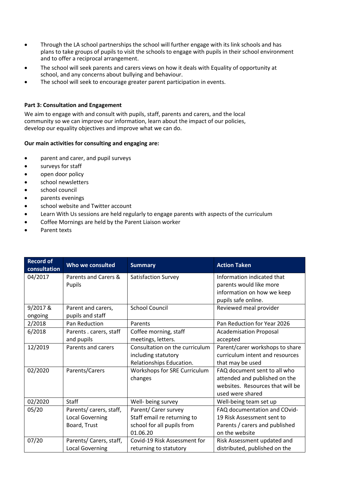- Through the LA school partnerships the school will further engage with its link schools and has plans to take groups of pupils to visit the schools to engage with pupils in their school environment and to offer a reciprocal arrangement.
- The school will seek parents and carers views on how it deals with Equality of opportunity at school, and any concerns about bullying and behaviour.
- The school will seek to encourage greater parent participation in events.

#### **Part 3: Consultation and Engagement**

We aim to engage with and consult with pupils, staff, parents and carers, and the local community so we can improve our information, learn about the impact of our policies, develop our equality objectives and improve what we can do.

#### **Our main activities for consulting and engaging are:**

- parent and carer, and pupil surveys
- surveys for staff
- open door policy
- school newsletters
- school council
- parents evenings
- **•** school website and Twitter account
- Learn With Us sessions are held regularly to engage parents with aspects of the curriculum
- Coffee Mornings are held by the Parent Liaison worker
- Parent texts

| <b>Record of</b><br>consultation | Who we consulted               | <b>Summary</b>                 | <b>Action Taken</b>                                   |
|----------------------------------|--------------------------------|--------------------------------|-------------------------------------------------------|
| 04/2017                          | Parents and Carers &<br>Pupils | <b>Satisfaction Survey</b>     | Information indicated that<br>parents would like more |
|                                  |                                |                                | information on how we keep                            |
|                                  |                                |                                | pupils safe online.                                   |
| 9/2017 &                         | Parent and carers,             | <b>School Council</b>          | Reviewed meal provider                                |
| ongoing                          | pupils and staff               |                                |                                                       |
| 2/2018                           | Pan Reduction                  | Parents                        | Pan Reduction for Year 2026                           |
| 6/2018                           | Parents . carers, staff        | Coffee morning, staff          | <b>Academisation Proposal</b>                         |
|                                  | and pupils                     | meetings, letters.             | accepted                                              |
| 12/2019                          | Parents and carers             | Consultation on the curriculum | Parent/carer workshops to share                       |
|                                  |                                | including statutory            | curriculum intent and resources                       |
|                                  |                                | Relationships Education.       | that may be used                                      |
| 02/2020                          | Parents/Carers                 | Workshops for SRE Curriculum   | FAQ document sent to all who                          |
|                                  |                                | changes                        | attended and published on the                         |
|                                  |                                |                                | websites. Resources that will be                      |
|                                  |                                |                                | used were shared                                      |
| 02/2020                          | Staff                          | Well- being survey             | Well-being team set up                                |
| 05/20                            | Parents/carers, staff,         | Parent/ Carer survey           | FAQ documentation and COvid-                          |
|                                  | <b>Local Governing</b>         | Staff email re returning to    | 19 Risk Assessment sent to                            |
|                                  | Board, Trust                   | school for all pupils from     | Parents / carers and published                        |
|                                  |                                | 01.06.20                       | on the website                                        |
| 07/20                            | Parents/ Carers, staff,        | Covid-19 Risk Assessment for   | Risk Assessment updated and                           |
|                                  | <b>Local Governing</b>         | returning to statutory         | distributed, published on the                         |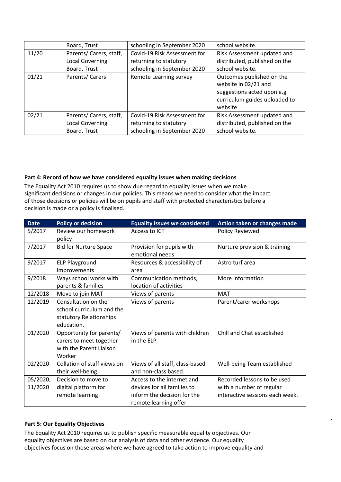|       | Board, Trust            | schooling in September 2020  | school website.               |
|-------|-------------------------|------------------------------|-------------------------------|
| 11/20 | Parents/ Carers, staff, | Covid-19 Risk Assessment for | Risk Assessment updated and   |
|       | <b>Local Governing</b>  | returning to statutory       | distributed, published on the |
|       | Board, Trust            | schooling in September 2020  | school website.               |
| 01/21 | Parents/ Carers         | Remote Learning survey       | Outcomes published on the     |
|       |                         |                              | website in 02/21 and          |
|       |                         |                              | suggestions acted upon e.g.   |
|       |                         |                              | curriculum guides uploaded to |
|       |                         |                              | website                       |
| 02/21 | Parents/ Carers, staff, | Covid-19 Risk Assessment for | Risk Assessment updated and   |
|       | <b>Local Governing</b>  | returning to statutory       | distributed, published on the |
|       | Board, Trust            | schooling in September 2020  | school website.               |

#### **Part 4: Record of how we have considered equality issues when making decisions**

The Equality Act 2010 requires us to show due regard to equality issues when we make significant decisions or changes in our policies. This means we need to consider what the impact of those decisions or policies will be on pupils and staff with protected characteristics before a decision is made or a policy is finalised.

| <b>Date</b> | <b>Policy or decision</b>    | <b>Equality issues we considered</b> | Action taken or changes made    |
|-------------|------------------------------|--------------------------------------|---------------------------------|
| 5/2017      | Review our homework          | Access to ICT                        | Policy Reviewed                 |
|             | policy                       |                                      |                                 |
| 7/2017      | <b>Bid for Nurture Space</b> | Provision for pupils with            | Nurture provision & training    |
|             |                              | emotional needs                      |                                 |
| 9/2017      | <b>ELP Playground</b>        | Resources & accessibility of         | Astro turf area                 |
|             | improvements                 | area                                 |                                 |
| 9/2018      | Ways school works with       | Communication methods,               | More information                |
|             | parents & families           | location of activities               |                                 |
| 12/2018     | Move to join MAT             | Views of parents                     | <b>MAT</b>                      |
| 12/2019     | Consultation on the          | Views of parents                     | Parent/carer workshops          |
|             | school curriculum and the    |                                      |                                 |
|             | statutory Relationships      |                                      |                                 |
|             | education.                   |                                      |                                 |
| 01/2020     | Opportunity for parents/     | Views of parents with children       | Chill and Chat established      |
|             | carers to meet together      | in the ELP                           |                                 |
|             | with the Parent Liaison      |                                      |                                 |
|             | Worker                       |                                      |                                 |
| 02/2020     | Collation of staff views on  | Views of all staff, class-based      | Well-being Team established     |
|             | their well-being             | and non-class based.                 |                                 |
| 05/2020,    | Decision to move to          | Access to the internet and           | Recorded lessons to be used     |
| 11/2020     | digital platform for         | devices for all families to          | with a number of regular        |
|             | remote learning              | inform the decision for the          | interactive sessions each week. |
|             |                              | remote learning offer                |                                 |

ù.

#### **Part 5: Our Equality Objectives**

The Equality Act 2010 requires us to publish specific measurable equality objectives. Our equality objectives are based on our analysis of data and other evidence. Our equality objectives focus on those areas where we have agreed to take action to improve equality and